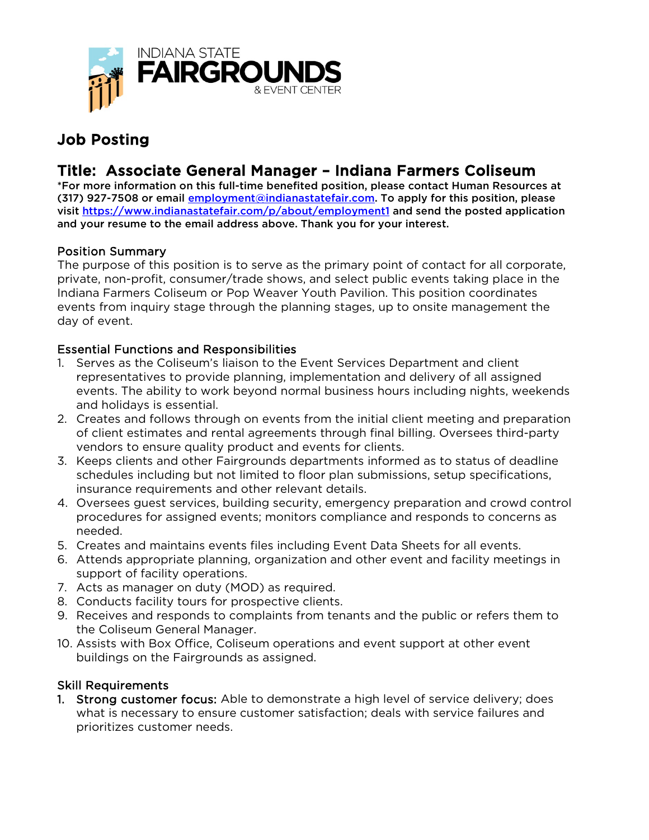

# Job Posting

# Title: Associate General Manager – Indiana Farmers Coliseum<br>\*For more information on this full-time benefited position, please contact Human Resources at

(317) 927-7508 or email [employment@indianastatefair.com.](mailto:employment@indianastatefair.com) To apply for this position, please visit<https://www.indianastatefair.com/p/about/employment1> and send the posted application and your resume to the email address above. Thank you for your interest.

# Position Summary

The purpose of this position is to serve as the primary point of contact for all corporate, private, non-profit, consumer/trade shows, and select public events taking place in the Indiana Farmers Coliseum or Pop Weaver Youth Pavilion. This position coordinates events from inquiry stage through the planning stages, up to onsite management the day of event.

### Essential Functions and Responsibilities

- 1. Serves as the Coliseum's liaison to the Event Services Department and client representatives to provide planning, implementation and delivery of all assigned events. The ability to work beyond normal business hours including nights, weekends and holidays is essential.
- 2. Creates and follows through on events from the initial client meeting and preparation of client estimates and rental agreements through final billing. Oversees third-party vendors to ensure quality product and events for clients.
- 3. Keeps clients and other Fairgrounds departments informed as to status of deadline schedules including but not limited to floor plan submissions, setup specifications, insurance requirements and other relevant details.
- 4. Oversees guest services, building security, emergency preparation and crowd control procedures for assigned events; monitors compliance and responds to concerns as needed.
- 5. Creates and maintains events files including Event Data Sheets for all events.
- 6. Attends appropriate planning, organization and other event and facility meetings in support of facility operations.
- 7. Acts as manager on duty (MOD) as required.
- 8. Conducts facility tours for prospective clients.
- 9. Receives and responds to complaints from tenants and the public or refers them to the Coliseum General Manager.
- 10. Assists with Box Office, Coliseum operations and event support at other event buildings on the Fairgrounds as assigned.

# Skill Requirements

1. Strong customer focus: Able to demonstrate a high level of service delivery; does what is necessary to ensure customer satisfaction; deals with service failures and prioritizes customer needs.